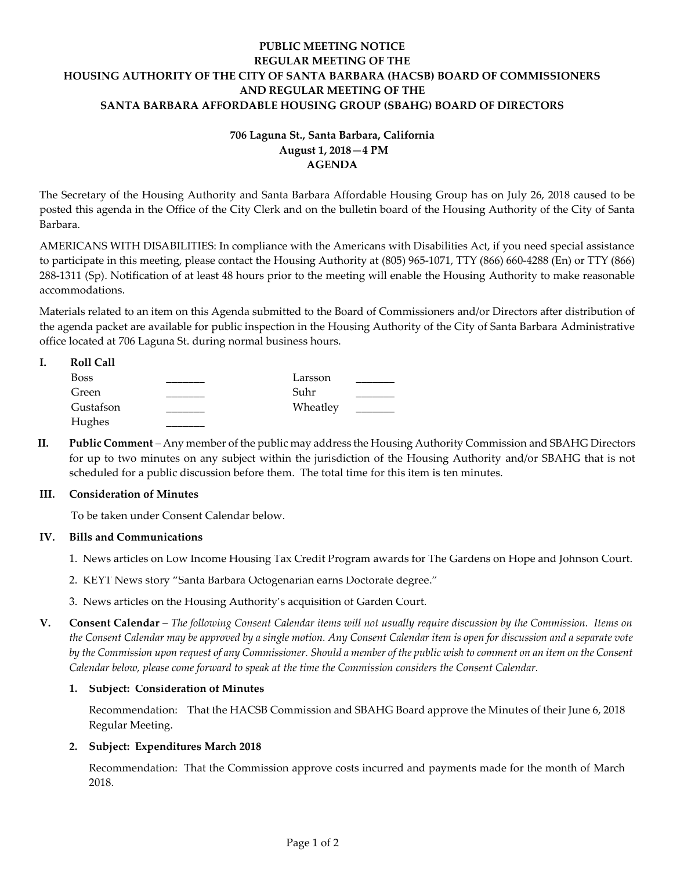## **PUBLIC MEETING NOTICE REGULAR MEETING OF THE HOUSING AUTHORITY OF THE CITY OF SANTA BARBARA (HACSB) BOARD OF COMMISSIONERS AND REGULAR MEETING OF THE SANTA BARBARA AFFORDABLE HOUSING GROUP (SBAHG) BOARD OF DIRECTORS**

# **706 Laguna St., Santa Barbara, California August 1, 2018—4 PM AGENDA**

The Secretary of the Housing Authority and Santa Barbara Affordable Housing Group has on July 26, 2018 caused to be posted this agenda in the Office of the City Clerk and on the bulletin board of the Housing Authority of the City of Santa Barbara.

AMERICANS WITH DISABILITIES: In compliance with the Americans with Disabilities Act, if you need special assistance to participate in this meeting, please contact the Housing Authority at (805) 965-1071, TTY (866) 660-4288 (En) or TTY (866) 288-1311 (Sp). Notification of at least 48 hours prior to the meeting will enable the Housing Authority to make reasonable accommodations.

Materials related to an item on this Agenda submitted to the Board of Commissioners and/or Directors after distribution of the agenda packet are available for public inspection in the Housing Authority of the City of Santa Barbara Administrative office located at 706 Laguna St. during normal business hours.

| <b>Roll Call</b> |          |  |
|------------------|----------|--|
| <b>Boss</b>      | Larsson  |  |
| Green            | Suhr     |  |
| Gustafson        | Wheatley |  |
| Hughes           |          |  |

**II. Public Comment** – Any member of the public may address the Housing Authority Commission and SBAHG Directors for up to two minutes on any subject within the jurisdiction of the Housing Authority and/or SBAHG that is not scheduled for a public discussion before them. The total time for this item is ten minutes.

#### **III. Consideration of Minutes**

To be taken under Consent Calendar below.

#### **IV. Bills and Communications**

- 1. [News articles on Low Income Housing Tax Credit Program awards for The Gardens on Hope and Johnson Court.](https://hacsb.org/download/meetings_2018/items/08_august/Item-IV.1.pdf)
- 2. KEYT News story "[Santa Barbara Octogenarian earns Doctorate degree](https://hacsb.org/download/meetings_2018/items/08_august/Item-IV.2.pdf)."
- 3. [News articles on the Housing Authority's acquisition of Garden Court.](https://hacsb.org/download/meetings_2018/items/08_august/Item-IV.3.pdf)

**V. Consent Calendar** – *The following Consent Calendar items will not usually require discussion by the Commission. Items on the Consent Calendar may be approved by a single motion. Any Consent Calendar item is open for discussion and a separate vote by the Commission upon request of any Commissioner. Should a member of the public wish to comment on an item on the Consent Calendar below, please come forward to speak at the time the Commission considers the Consent Calendar.*

#### **1. Subject: Consideration of Minutes**

[Recommendation: That the HACSB Commission and SBAHG Board approve the Minutes of their June 6, 2018](https://hacsb.org/download/meetings_2018/items/08_august/Item-V.1.pdf) Regular Meeting.

#### **2. Subject: Expenditures March 2018**

[Recommendation: That the Commission approve costs incurred and payments made for the month of March](https://hacsb.org/download/meetings_2018/items/08_august/Item-V.2.pdf) 2018.